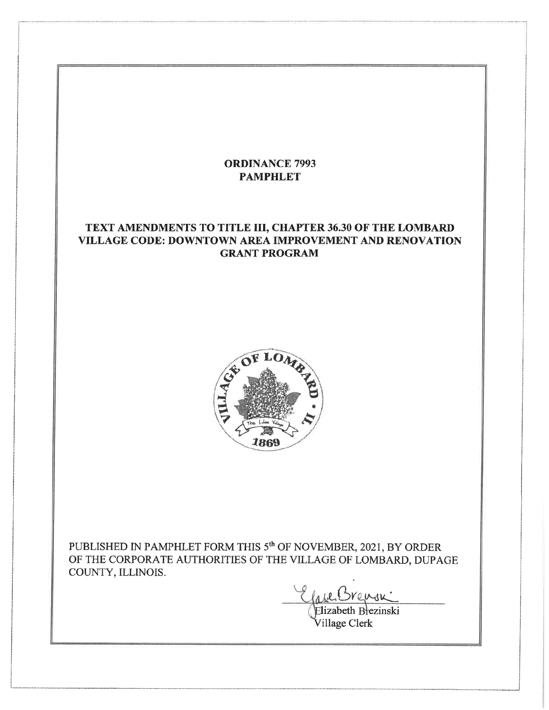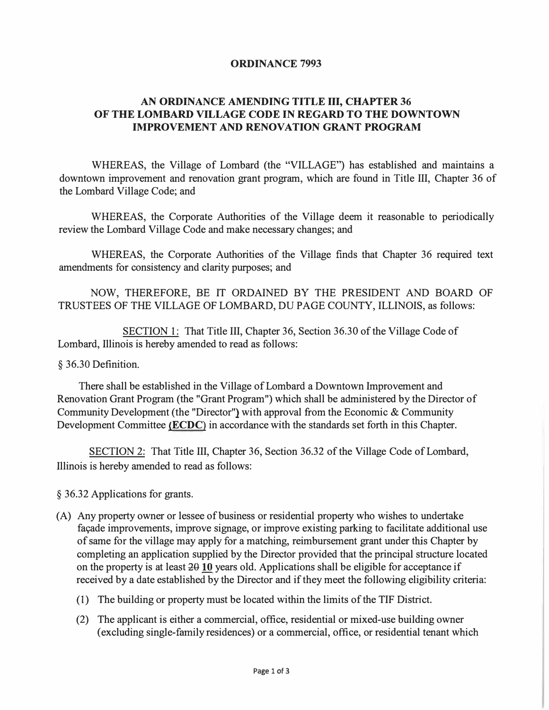### **ORDINANCE 7993**

### **AN ORDINANCE AMENDING TITLE III, CHAPTER 36 OF THE LOMBARD VILLAGE CODE IN REGARD TO THE DOWNTOWN IMPROVEMENT AND RENOVATION GRANT PROGRAM**

WHEREAS, the Village of Lombard (the "VILLAGE") has established and maintains a downtown improvement and renovation grant program, which are found in Title III, Chapter 36 of the Lombard Village Code; and

WHEREAS, the Corporate Authorities of the Village deem it reasonable to periodically review the Lombard Village Code and make necessary changes; and

WHEREAS, the Corporate Authorities of the Village finds that Chapter 36 required text amendments for consistency and clarity purposes; and

NOW, THEREFORE, BE IT ORDAINED BY THE PRESIDENT AND BOARD OF TRUSTEES OF THE VILLAGE OF LOMBARD, DU PAGE COUNTY, ILLINOIS, as follows:

SECTION 1: That Title III, Chapter 36, Section 36.30 of the Village Code of Lombard, Illinois is hereby amended to read as follows:

### § 36.30 Definition.

There shall be established in the Village of Lombard a Downtown Improvement and Renovation Grant Program (the "Grant Program") which shall be administered by the Director of Community Development (the "Director"} with approval from the Economic & Community Development Committee **(ECDC)** in accordance with the standards set forth in this Chapter.

SECTION 2: That Title III, Chapter 36, Section 36.32 of the Village Code of Lombard, Illinois is hereby amended to read as follows:

§ 36.32 Applications for grants.

- (A) Any property owner or lessee of business or residential property who wishes to undertake facade improvements, improve signage, or improve existing parking to facilitate additional use of same for the village may apply for a matching, reimbursement grant under this Chapter by completing an application supplied by the Director provided that the principal structure located on the property is at least  $2010$  years old. Applications shall be eligible for acceptance if received by a date established by the Director and if they meet the following eligibility criteria:
	- (1) The building or property must be located within the limits of the TIF District.
	- (2) The applicant is either a commercial, office, residential or mixed-use building owner ( excluding single-family residences) or a commercial, office, or residential tenant which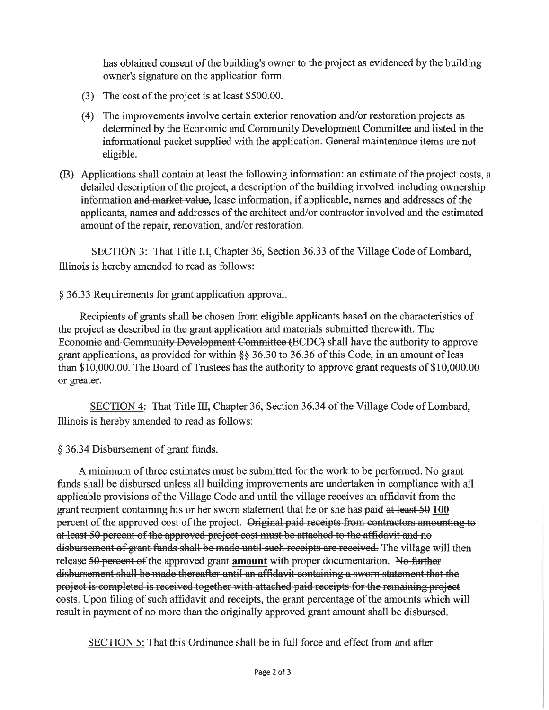has obtained consent of the building's owner to the project as evidenced by the building owner's signature on the application form.

- (3) The cost of the project is at least \$500.00.
- (4) The improvements involve certain exterior renovation and/or restoration projects as determined by the Economic and Community Development Committee and listed in the informational packet supplied with the application. General maintenance items are not eligible.
- (B) Applications shall contain at least the following information: an estimate of the project costs, a detailed description of the project, a description of the building involved including ownership information and market value, lease information, if applicable, names and addresses of the applicants, names and addresses of the architect and/or contractor involved and the estimated amount of the repair, renovation, and/or restoration.

SECTION 3: That Title III, Chapter 36, Section 36.33 of the Village Code of Lombard, Illinois is hereby amended to read as follows:

### § 36.33 Requirements for grant application approval.

Recipients of grants shall be chosen from eligible applicants based on the characteristics of the project as described in the grant application and materials submitted therewith. The Economic and Community Development Committee (ECDC) shall have the authority to approve grant applications, as provided for within  $\S$ § 36.30 to 36.36 of this Code, in an amount of less than \$10,000.00. The Board of Trustees has the authority to approve grant requests of  $$10,000.00$ or greater.

SECTION 4: That Title III, Chapter 36, Section 36.34 of the Village Code of Lombard, Illinois is hereby amended to read as follows:

§ 36.34 Disbursement of grant funds.

A minimum of three estimates must be submitted for the work to be performed. No grant funds shall be disbursed unless all building improvements are undertaken in compliance with all applicable provisions of the Village Code and until the village receives an affidavit from the grant recipient containing his or her sworn statement that he or she has paid at least 50 100 percent of the approved cost of the project. Original paid receipts from contractors amounting to at least 50 percent of the approved project cost must be attached to the affidavit and no disbursement of grant funds shall be made until such receipts are received. The village will then release 50 percent of the approved grant **amount** with proper documentation. No further disbursement shall be made thereafter until an affidavit containing a sworn statement that the project is completed is received together with attached paid receipts for the remaining project eosts. Upon filing of such affidavit and receipts, the grant percentage of the amounts which will result in payment of no more than the originally approved grant amount shall be disbursed.

SECTION 5: That this Ordinance shall be in full force and effect from and after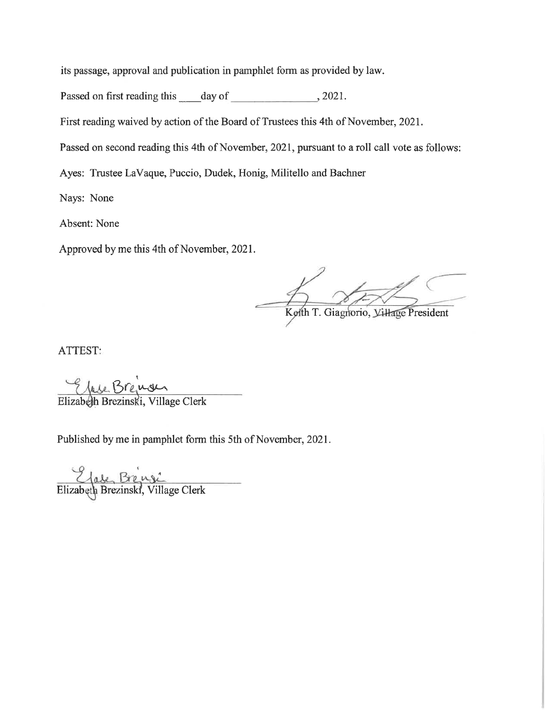its passage, approval and publication in pamphlet form as provided by law.

Passed on first reading this day of 3021.

First reading waived by action of the Board of Trustees this 4th of November, 2021.

Passed on second reading this 4th of November, 2021, pursuant to a roll call vote as follows:

Ayes: Trustee LaVaque, Puccio, Dudek, Honig, Militello and Bachner

Nays: None

Absent: None

Approved by me this 4th of November, 2021.

Kolth T. Giagnorio, Village President

ATTEST:

Elizabeth Breinger, Village Clerk

Published by me in pamphlet form this 5th of November, 2021.

Elizabeth Breisel, Village Clerk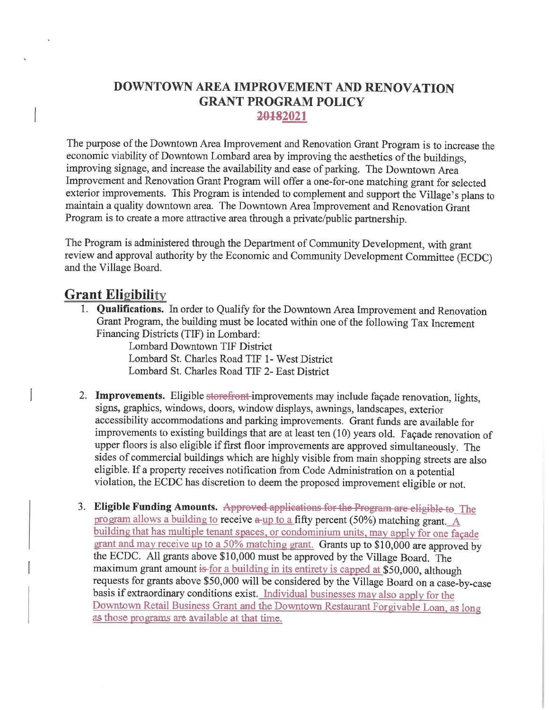# DOWNTOWN AREA IMPROVEMENT AND RENOVATION **GRANT PROGRAM POLICY** 20182021

The purpose of the Downtown Area Improvement and Renovation Grant Program is to increase the economic viability of Downtown Lombard area by improving the aesthetics of the buildings, improving signage, and increase the availability and ease of parking. The Downtown Area Improvement and Renovation Grant Program will offer a one-for-one matching grant for selected exterior improvements. This Program is intended to complement and support the Village's plans to maintain a quality downtown area. The Downtown Area Improvement and Renovation Grant Program is to create a more attractive area through a private/public partnership.

The Program is administered through the Department of Community Development, with grant review and approval authority by the Economic and Community Development Committee (ECDC) and the Village Board.

# **Grant Eligibility**

1. **Qualifications.** In order to Qualify for the Downtown Area Improvement and Renovation Grant Program, the building must be located within one of the following Tax Increment Financing Districts (TIF) in Lombard:

Lombard Downtown TIF District Lombard St. Charles Road TIF 1- West District Lombard St. Charles Road TIF 2- East District

- 2. Improvements. Eligible storefront improvements may include façade renovation, lights. signs, graphics, windows, doors, window displays, awnings, landscapes, exterior accessibility accommodations and parking improvements. Grant funds are available for improvements to existing buildings that are at least ten (10) years old. Façade renovation of upper floors is also eligible if first floor improvements are approved simultaneously. The sides of commercial buildings which are highly visible from main shopping streets are also eligible. If a property receives notification from Code Administration on a potential violation, the ECDC has discretion to deem the proposed improvement eligible or not.
- 3. Eligible Funding Amounts. Approved applications for the Program are eligible to The program allows a building to receive  $a$ -up to a fifty percent (50%) matching grant. A building that has multiple tenant spaces, or condominium units, may apply for one façade grant and may receive up to a 50% matching grant. Grants up to \$10,000 are approved by the ECDC. All grants above \$10,000 must be approved by the Village Board. The maximum grant amount is for a building in its entirety is capped at \$50,000, although requests for grants above \$50,000 will be considered by the Village Board on a case-by-case basis if extraordinary conditions exist. Individual businesses may also apply for the Downtown Retail Business Grant and the Downtown Restaurant Forgivable Loan, as long as those programs are available at that time.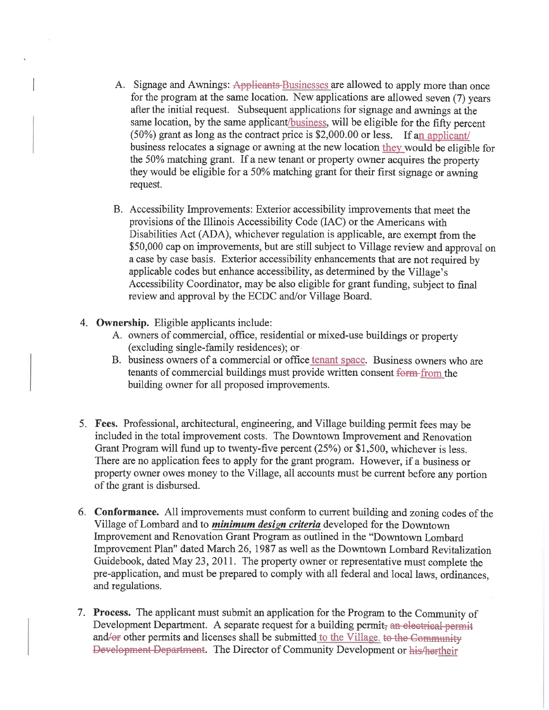- A. Signage and Awnings: Applicants-Businesses are allowed to apply more than once for the program at the same location. New applications are allowed seven (7) years after the initial request. Subsequent applications for signage and awnings at the same location, by the same applicant/business, will be eligible for the fifty percent (50%) grant as long as the contract price is \$2,000.00 or less. If an applicant/ business relocates a signage or awning at the new location they would be eligible for the 50% matching grant. If a new tenant or property owner acquires the property they would be eligible for a 50% matching grant for their first signage or awning request.
- B. Accessibility Improvements: Exterior accessibility improvements that meet the provisions of the Illinois Accessibility Code (IAC) or the Americans with Disabilities Act (ADA), whichever regulation is applicable, are exempt from the \$50,000 cap on improvements, but are still subject to Village review and approval on a case by case basis. Exterior accessibility enhancements that are not required by applicable codes but enhance accessibility, as determined by the Village's Accessibility Coordinator, may be also eligible for grant funding, subject to final review and approval by the ECDC and/or Village Board.
- 4. Ownership. Eligible applicants include:
	- A. owners of commercial, office, residential or mixed-use buildings or property (excluding single-family residences); or
	- B. business owners of a commercial or office tenant space. Business owners who are tenants of commercial buildings must provide written consent form-from the building owner for all proposed improvements.
- 5. Fees. Professional, architectural, engineering, and Village building permit fees may be included in the total improvement costs. The Downtown Improvement and Renovation Grant Program will fund up to twenty-five percent (25%) or \$1,500, whichever is less. There are no application fees to apply for the grant program. However, if a business or property owner owes money to the Village, all accounts must be current before any portion of the grant is disbursed.
- 6. Conformance. All improvements must conform to current building and zoning codes of the Village of Lombard and to *minimum design criteria* developed for the Downtown Improvement and Renovation Grant Program as outlined in the "Downtown Lombard Improvement Plan" dated March 26, 1987 as well as the Downtown Lombard Revitalization Guidebook, dated May 23, 2011. The property owner or representative must complete the pre-application, and must be prepared to comply with all federal and local laws, ordinances, and regulations.
- 7. Process. The applicant must submit an application for the Program to the Community of Development Department. A separate request for a building permit, an electrical permit and/or other permits and licenses shall be submitted to the Village, to the Community Development Department. The Director of Community Development or his/hertheir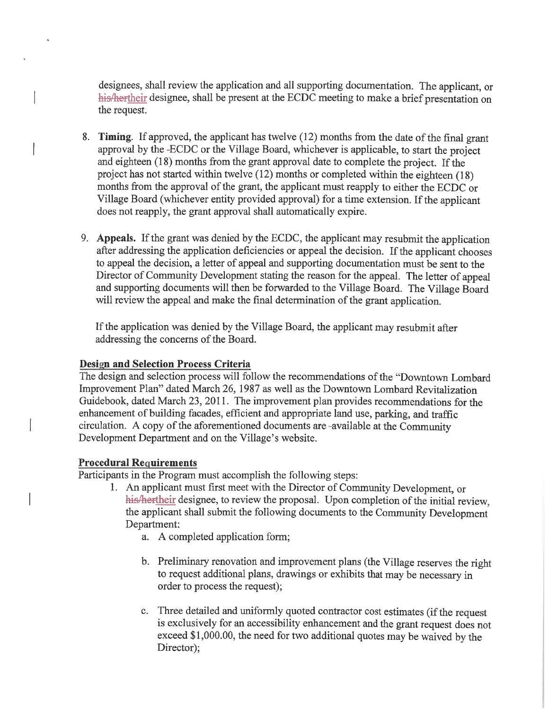designees, shall review the application and all supporting documentation. The applicant, or his/hertheir designee, shall be present at the ECDC meeting to make a brief presentation on the request.

- 8. Timing. If approved, the applicant has twelve (12) months from the date of the final grant approval by the -ECDC or the Village Board, whichever is applicable, to start the project and eighteen  $(18)$  months from the grant approval date to complete the project. If the project has not started within twelve (12) months or completed within the eighteen (18) months from the approval of the grant, the applicant must reapply to either the ECDC or Village Board (whichever entity provided approval) for a time extension. If the applicant does not reapply, the grant approval shall automatically expire.
- 9. Appeals. If the grant was denied by the ECDC, the applicant may resubmit the application after addressing the application deficiencies or appeal the decision. If the applicant chooses to appeal the decision, a letter of appeal and supporting documentation must be sent to the Director of Community Development stating the reason for the appeal. The letter of appeal and supporting documents will then be forwarded to the Village Board. The Village Board will review the appeal and make the final determination of the grant application.

If the application was denied by the Village Board, the applicant may resubmit after addressing the concerns of the Board.

### **Design and Selection Process Criteria**

The design and selection process will follow the recommendations of the "Downtown Lombard Improvement Plan" dated March 26, 1987 as well as the Downtown Lombard Revitalization Guidebook, dated March 23, 2011. The improvement plan provides recommendations for the enhancement of building facades, efficient and appropriate land use, parking, and traffic circulation. A copy of the aforementioned documents are -available at the Community Development Department and on the Village's website.

### **Procedural Requirements**

Participants in the Program must accomplish the following steps:

- 1. An applicant must first meet with the Director of Community Development, or his/hertheir designee, to review the proposal. Upon completion of the initial review. the applicant shall submit the following documents to the Community Development Department:
	- a. A completed application form;
	- b. Preliminary renovation and improvement plans (the Village reserves the right to request additional plans, drawings or exhibits that may be necessary in order to process the request);
	- c. Three detailed and uniformly quoted contractor cost estimates (if the request is exclusively for an accessibility enhancement and the grant request does not exceed \$1,000.00, the need for two additional quotes may be waived by the Director);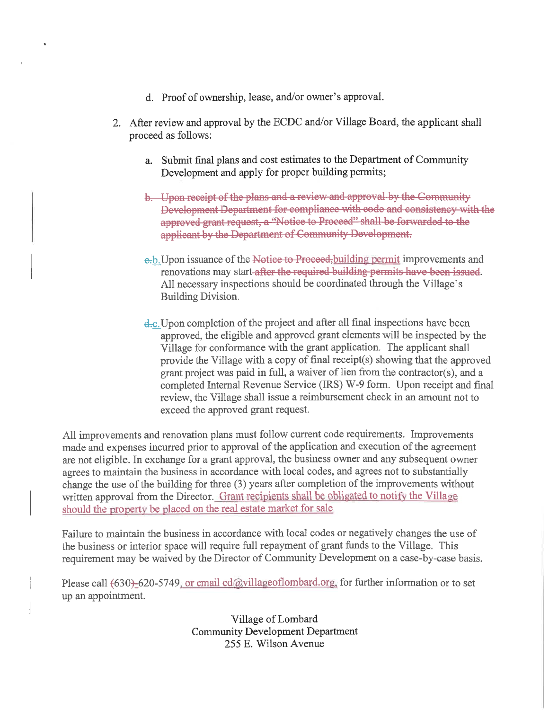- d. Proof of ownership, lease, and/or owner's approval.
- 2. After review and approval by the ECDC and/or Village Board, the applicant shall proceed as follows:
	- a. Submit final plans and cost estimates to the Department of Community Development and apply for proper building permits;
	- b. Upon receipt of the plans and a review and approval by the Community Development Department for compliance with code and consistency with the approved grant request, a "Notice to Proceed" shall be forwarded to the applicant by the Department of Community Development.
	- e<sub>r</sub>b. Upon issuance of the Notice to Proceed, building permit improvements and renovations may start-after the required building permits have been issued. All necessary inspections should be coordinated through the Village's **Building Division.**
	- d.c. Upon completion of the project and after all final inspections have been approved, the eligible and approved grant elements will be inspected by the Village for conformance with the grant application. The applicant shall provide the Village with a copy of final receipt(s) showing that the approved grant project was paid in full, a waiver of lien from the contractor(s), and a completed Internal Revenue Service (IRS) W-9 form. Upon receipt and final review, the Village shall issue a reimbursement check in an amount not to exceed the approved grant request.

All improvements and renovation plans must follow current code requirements. Improvements made and expenses incurred prior to approval of the application and execution of the agreement are not eligible. In exchange for a grant approval, the business owner and any subsequent owner agrees to maintain the business in accordance with local codes, and agrees not to substantially change the use of the building for three (3) years after completion of the improvements without written approval from the Director. Grant recipients shall be obligated to notify the Village should the property be placed on the real estate market for sale

Failure to maintain the business in accordance with local codes or negatively changes the use of the business or interior space will require full repayment of grant funds to the Village. This requirement may be waived by the Director of Community Development on a case-by-case basis.

Please call (630)-620-5749, or email cd@villageoflombard.org, for further information or to set up an appointment.

> Village of Lombard **Community Development Department** 255 E. Wilson Avenue